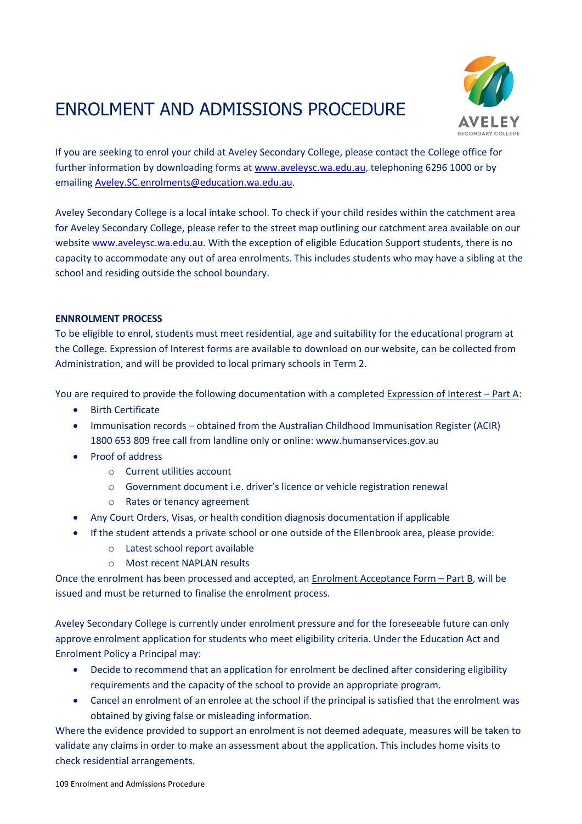# ENROLMENT AND ADMISSIONS PROCEDURE



If you are seeking to enrol your child at Aveley Secondary College, please contact the College office for further information by downloading forms at [www.aveleysc.wa.edu.au,](http://www.aveleysc.wa.edu.au/) telephoning 6296 1000 or by emailing [Aveley.SC.enrolments@education.wa.edu.au.](mailto:Aveley.SC.enrolments@education.wa.edu.au)

Aveley Secondary College is a local intake school. To check if your child resides within the catchment area for Aveley Secondary College, please refer to the street map outlining our catchment area available on our website [www.aveleysc.wa.edu.au.](http://www.aveleysc.wa.edu.au/) With the exception of eligible Education Support students, there is no capacity to accommodate any out of area enrolments. This includes students who may have a sibling at the school and residing outside the school boundary.

# **ENNROLMENT PROCESS**

To be eligible to enrol, students must meet residential, age and suitability for the educational program at the College. Expression of Interest forms are available to download on our website, can be collected from Administration, and will be provided to local primary schools in Term 2.

You are required to provide the following documentation with a completed Expression of Interest – Part A:

- **•** Birth Certificate
- Immunisation records obtained from the Australian Childhood Immunisation Register (ACIR) 1800 653 809 free call from landline only or online: [www.humanservices.gov.au](http://www.humanservices.gov.au/)
- Proof of address
	- o Current utilities account
	- o Government document i.e. driver's licence or vehicle registration renewal
	- o Rates or tenancy agreement
- Any Court Orders, Visas, or health condition diagnosis documentation if applicable
- If the student attends a private school or one outside of the Ellenbrook area, please provide:
	- o Latest school report available
	- o Most recent NAPLAN results

Once the enrolment has been processed and accepted, an Enrolment Acceptance Form – Part B, will be issued and must be returned to finalise the enrolment process.

Aveley Secondary College is currently under enrolment pressure and for the foreseeable future can only approve enrolment application for students who meet eligibility criteria. Under the Education Act and Enrolment Policy a Principal may:

- Decide to recommend that an application for enrolment be declined after considering eligibility requirements and the capacity of the school to provide an appropriate program.
- Cancel an enrolment of an enrolee at the school if the principal is satisfied that the enrolment was obtained by giving false or misleading information.

Where the evidence provided to support an enrolment is not deemed adequate, measures will be taken to validate any claims in order to make an assessment about the application. This includes home visits to check residential arrangements.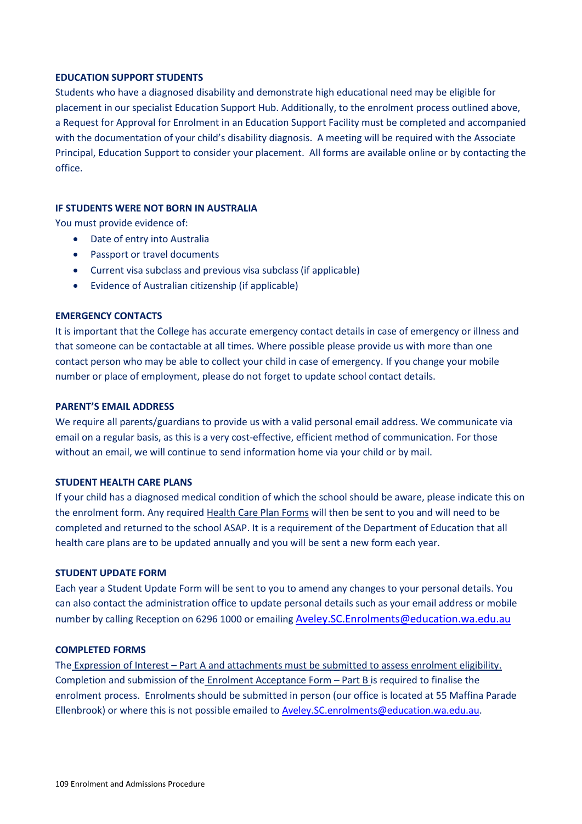#### **EDUCATION SUPPORT STUDENTS**

Students who have a diagnosed disability and demonstrate high educational need may be eligible for placement in our specialist Education Support Hub. Additionally, to the enrolment process outlined above, a Request for Approval for Enrolment in an Education Support Facility must be completed and accompanied with the documentation of your child's disability diagnosis. A meeting will be required with the Associate Principal, Education Support to consider your placement. All forms are available online or by contacting the office.

#### **IF STUDENTS WERE NOT BORN IN AUSTRALIA**

You must provide evidence of:

- Date of entry into Australia
- Passport or travel documents
- Current visa subclass and previous visa subclass (if applicable)
- Evidence of Australian citizenship (if applicable)

#### **EMERGENCY CONTACTS**

It is important that the College has accurate emergency contact details in case of emergency or illness and that someone can be contactable at all times. Where possible please provide us with more than one contact person who may be able to collect your child in case of emergency. If you change your mobile number or place of employment, please do not forget to update school contact details.

#### **PARENT'S EMAIL ADDRESS**

We require all parents/guardians to provide us with a valid personal email address. We communicate via email on a regular basis, as this is a very cost-effective, efficient method of communication. For those without an email, we will continue to send information home via your child or by mail.

#### **STUDENT HEALTH CARE PLANS**

If your child has a diagnosed medical condition of which the school should be aware, please indicate this on the enrolment form. Any required Health Care Plan Forms will then be sent to you and will need to be completed and returned to the school ASAP. It is a requirement of the Department of Education that all health care plans are to be updated annually and you will be sent a new form each year.

#### **STUDENT UPDATE FORM**

Each year a Student Update Form will be sent to you to amend any changes to your personal details. You can also contact the administration office to update personal details such as your email address or mobile number by calling Reception on 6296 1000 or emailing [Aveley.SC.Enrolments@education.wa.edu.au](mailto:Aveley.SC.Enrolments@education.wa.edu.au)

#### **COMPLETED FORMS**

The Expression of Interest – Part A and attachments must be submitted to assess enrolment eligibility. Completion and submission of the Enrolment Acceptance Form – Part B is required to finalise the enrolment process. Enrolments should be submitted in person (our office is located at 55 Maffina Parade Ellenbrook) or where this is not possible emailed to [Aveley.SC.enrolments@education.wa.edu.au.](mailto:Aveley.SC.enrolments@education.wa.edu.au)